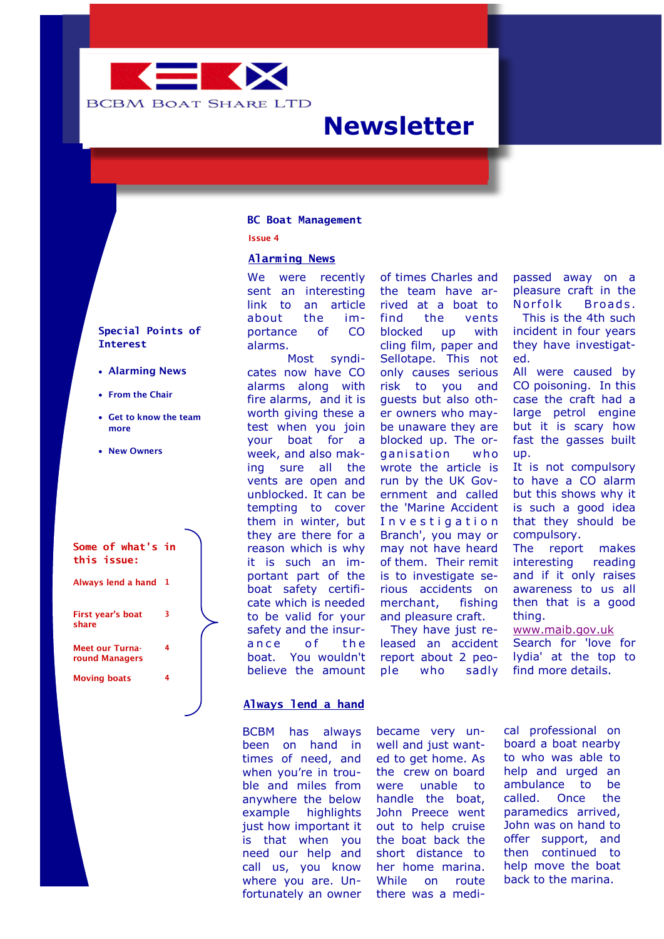

# **Newsletter**

#### **BC Boat Management**

**Issue 4**

#### **Alarming News**

We were recently sent an interesting link to an article about the importance of CO alarms.

Most syndicates now have CO alarms along with fire alarms, and it is worth giving these a test when you join your boat for a week, and also making sure all the vents are open and unblocked. It can be tempting to cover them in winter, but they are there for a reason which is why it is such an important part of the boat safety certificate which is needed to be valid for your safety and the insurance of the boat. You wouldn't believe the amount

of times Charles and the team have arrived at a boat to find the vents blocked up with cling film, paper and Sellotape. This not only causes serious risk to you and guests but also other owners who maybe unaware they are blocked up. The organisation who wrote the article is run by the UK Government and called the 'Marine Accident Investigation Branch', you may or may not have heard of them. Their remit is to investigate serious accidents on merchant, fishing and pleasure craft.

They have just released an accident report about 2 people who sadly passed away on a pleasure craft in the Norfolk Broads. This is the 4th such incident in four years they have investigated.

All were caused by CO poisoning. In this case the craft had a large petrol engine but it is scary how fast the gasses built up.

It is not compulsory to have a CO alarm but this shows why it is such a good idea that they should be compulsory.

The report makes interesting reading and if it only raises awareness to us all then that is a good thing.

[www.maib.gov.uk](http://www.maib.gov.uk) Search for 'love for lydia' at the top to find more details.

# **Special Points of Interest**

- **Alarming News**
- **From the Chair**
- **Get to know the team more**
- **New Owners**



### **Always lend a hand**

BCBM has always been on hand in times of need, and when you're in trouble and miles from anywhere the below example highlights just how important it is that when you need our help and call us, you know where you are. Unfortunately an owner

became very unwell and just wanted to get home. As the crew on board were unable to handle the boat, John Preece went out to help cruise the boat back the short distance to her home marina. While on route there was a medi-

cal professional on board a boat nearby to who was able to help and urged an ambulance to be called. Once the paramedics arrived, John was on hand to offer support, and then continued to help move the boat back to the marina.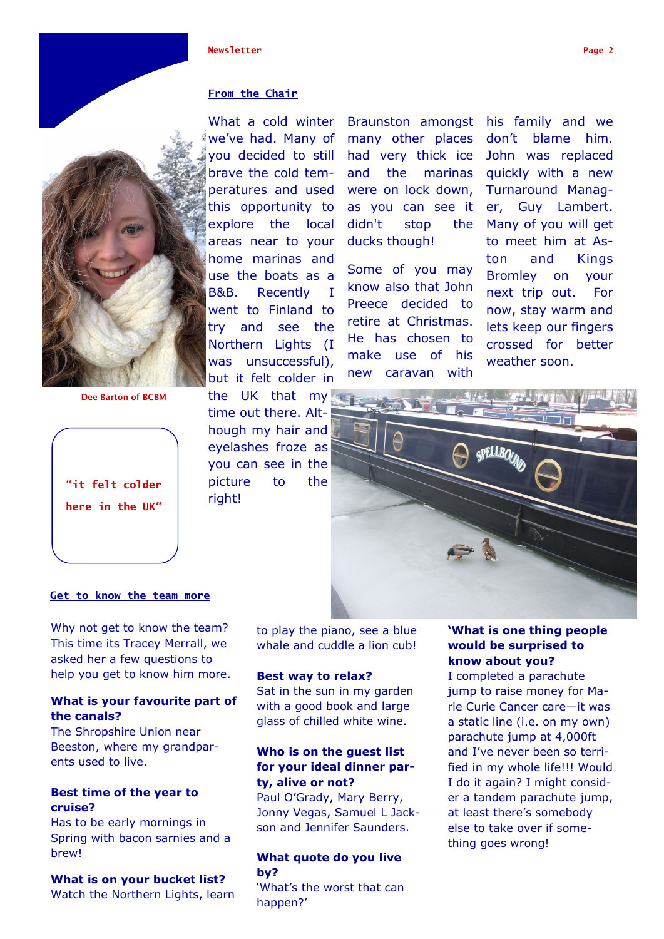#### **Newsletter Page 2**

# **From the Chair**

What a cold winter we've had. Many of you decided to still brave the cold temperatures and used this opportunity to explore the local areas near to your home marinas and use the boats as a B&B. Recently I went to Finland to try and see the Northern Lights (I was unsuccessful), but it felt colder in

the UK that my time out there. Although my hair and eyelashes froze as you can see in the picture to the right!

Braunston amongst many other places had very thick ice and the marinas were on lock down, as you can see it didn't stop the ducks though!

Some of you may know also that John Preece decided to retire at Christmas. He has chosen to make use of his new caravan with

his family and we don't blame him. John was replaced quickly with a new Turnaround Manager, Guy Lambert. Many of you will get to meet him at Aston and Kings Bromley on your next trip out. For now, stay warm and lets keep our fingers crossed for better weather soon.



# **Get to know the team more**

Why not get to know the team? This time its Tracey Merrall, we asked her a few questions to help you get to know him more.

# **What is your favourite part of the canals?**

The Shropshire Union near Beeston, where my grandparents used to live.

# **Best time of the year to cruise?**

Has to be early mornings in Spring with bacon sarnies and a brew!

# **What is on your bucket list?**

Watch the Northern Lights, learn

to play the piano, see a blue whale and cuddle a lion cub!

#### **Best way to relax?**

Sat in the sun in my garden with a good book and large glass of chilled white wine.

# **Who is on the guest list for your ideal dinner party, alive or not?**

Paul O'Grady, Mary Berry, Jonny Vegas, Samuel L Jackson and Jennifer Saunders.

# **What quote do you live by?**

'What's the worst that can happen?'

# **'What is one thing people would be surprised to know about you?**

I completed a parachute jump to raise money for Marie Curie Cancer care—it was a static line (i.e. on my own) parachute jump at 4,000ft and I've never been so terrified in my whole life!!! Would I do it again? I might consider a tandem parachute jump, at least there's somebody else to take over if something goes wrong!



**Dee Barton of BCBM**

**"it felt colder** 

**here in the UK"**

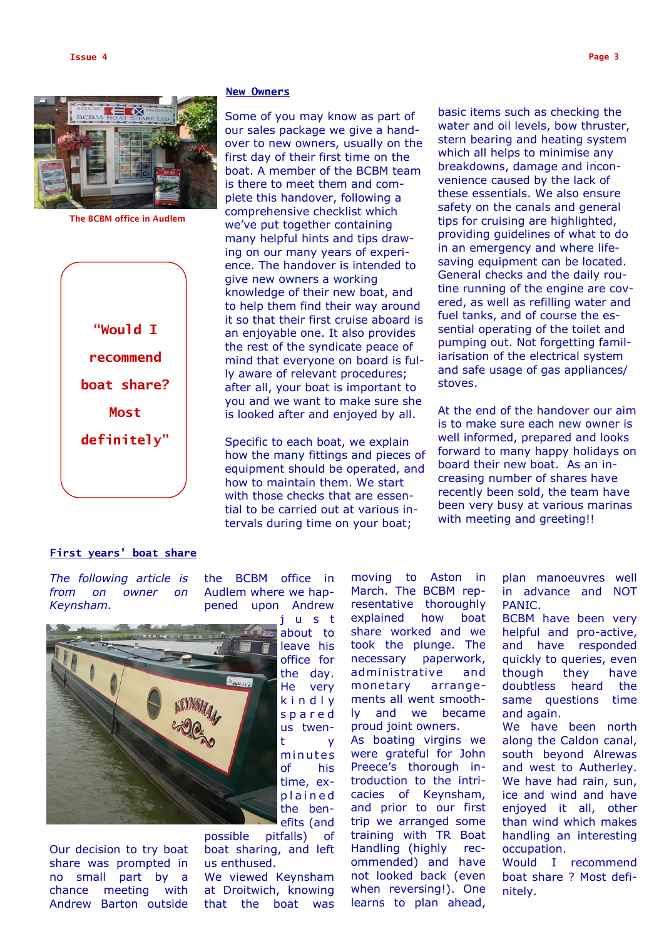**Issue 4 Page 3**



**The BCBM office in Audlem** 



#### **New Owners**

Some of you may know as part of our sales package we give a handover to new owners, usually on the first day of their first time on the boat. A member of the BCBM team is there to meet them and complete this handover, following a comprehensive checklist which we've put together containing many helpful hints and tips drawing on our many years of experience. The handover is intended to give new owners a working knowledge of their new boat, and to help them find their way around it so that their first cruise aboard is an enjoyable one. It also provides the rest of the syndicate peace of mind that everyone on board is fully aware of relevant procedures; after all, your boat is important to you and we want to make sure she is looked after and enjoyed by all.

Specific to each boat, we explain how the many fittings and pieces of equipment should be operated, and how to maintain them. We start with those checks that are essential to be carried out at various intervals during time on your boat;

basic items such as checking the water and oil levels, bow thruster, stern bearing and heating system which all helps to minimise any breakdowns, damage and inconvenience caused by the lack of these essentials. We also ensure safety on the canals and general tips for cruising are highlighted, providing guidelines of what to do in an emergency and where lifesaving equipment can be located. General checks and the daily routine running of the engine are covered, as well as refilling water and fuel tanks, and of course the essential operating of the toilet and pumping out. Not forgetting familiarisation of the electrical system and safe usage of gas appliances/ stoves.

At the end of the handover our aim is to make sure each new owner is well informed, prepared and looks forward to many happy holidays on board their new boat. As an increasing number of shares have recently been sold, the team have been very busy at various marinas with meeting and greeting!!

#### **First years' boat share**

*The following article is from on owner on Keynsham.* 

the BCBM office in Audlem where we happened upon Andrew



Our decision to try boat share was prompted in no small part by a chance meeting with Andrew Barton outside

about to leave his office for the day. He very k i n d l y s p a r e d us twent y minutes of his time, exp l a i n e d the benefits (and

possible pitfalls) of boat sharing, and left us enthused.

We viewed Keynsham at Droitwich, knowing that the boat was moving to Aston in March. The BCBM representative thoroughly explained how boat share worked and we took the plunge. The necessary paperwork, administrative and monetary arrangements all went smoothly and we became proud joint owners.

As boating virgins we were grateful for John Preece's thorough introduction to the intricacies of Keynsham, and prior to our first trip we arranged some training with TR Boat Handling (highly recommended) and have not looked back (even when reversing!). One learns to plan ahead,

plan manoeuvres well in advance and NOT PANIC.

BCBM have been very helpful and pro-active, and have responded quickly to queries, even though they have doubtless heard the same questions time and again.

We have been north along the Caldon canal, south beyond Alrewas and west to Autherley. We have had rain, sun, ice and wind and have enjoyed it all, other than wind which makes handling an interesting occupation.

Would I recommend boat share ? Most definitely.